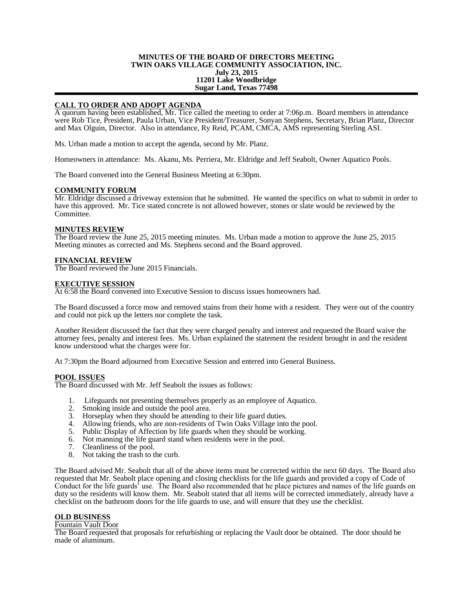### **MINUTES OF THE BOARD OF DIRECTORS MEETING TWIN OAKS VILLAGE COMMUNITY ASSOCIATION, INC. July 23, 2015 11201 Lake Woodbridge Sugar Land, Texas 77498**

# **CALL TO ORDER AND ADOPT AGENDA**

A quorum having been established, Mr. Tice called the meeting to order at 7:06p.m. Board members in attendance were Rob Tice, President, Paula Urban, Vice President/Treasurer, Sonyan Stephens, Secretary, Brian Planz, Director and Max Olguin, Director. Also in attendance, Ry Reid, PCAM, CMCA, AMS representing Sterling ASI.

Ms. Urban made a motion to accept the agenda, second by Mr. Planz.

Homeowners in attendance: Ms. Akanu, Ms. Perriera, Mr. Eldridge and Jeff Seabolt, Owner Aquatico Pools.

The Board convened into the General Business Meeting at 6:30pm.

#### **COMMUNITY FORUM**

Mr. Eldridge discussed a driveway extension that he submitted. He wanted the specifics on what to submit in order to have this approved. Mr. Tice stated concrete is not allowed however, stones or slate would be reviewed by the Committee.

#### **MINUTES REVIEW**

The Board review the June 25, 2015 meeting minutes. Ms. Urban made a motion to approve the June 25, 2015 Meeting minutes as corrected and Ms. Stephens second and the Board approved.

# **FINANCIAL REVIEW**

The Board reviewed the June 2015 Financials.

### **EXECUTIVE SESSION**

At 6:58 the Board convened into Executive Session to discuss issues homeowners had.

The Board discussed a force mow and removed stains from their home with a resident. They were out of the country and could not pick up the letters nor complete the task.

Another Resident discussed the fact that they were charged penalty and interest and requested the Board waive the attorney fees, penalty and interest fees. Ms. Urban explained the statement the resident brought in and the resident know understood what the charges were for.

At 7:30pm the Board adjourned from Executive Session and entered into General Business.

# **POOL ISSUES**

The Board discussed with Mr. Jeff Seabolt the issues as follows:

- 1. Lifeguards not presenting themselves properly as an employee of Aquatico.<br>2. Smoking inside and outside the pool area.
- 2. Smoking inside and outside the pool area.<br>3. Horseplay when they should be attending
- Horseplay when they should be attending to their life guard duties.
- 4. Allowing friends, who are non-residents of Twin Oaks Village into the pool.<br>5. Public Display of Affection by life guards when they should be working.
- Public Display of Affection by life guards when they should be working.
- 6. Not manning the life guard stand when residents were in the pool.
- 7. Cleanliness of the pool.
- 8. Not taking the trash to the curb.

The Board advised Mr. Seabolt that all of the above items must be corrected within the next 60 days. The Board also requested that Mr. Seabolt place opening and closing checklists for the life guards and provided a copy of Code of Conduct for the life guards' use. The Board also recommended that he place pictures and names of the life guards on duty so the residents will know them. Mr. Seabolt stated that all items will be corrected immediately, already have a checklist on the bathroom doors for the life guards to use, and will ensure that they use the checklist.

#### **OLD BUSINESS**

Fountain Vault Door

The Board requested that proposals for refurbishing or replacing the Vault door be obtained. The door should be made of aluminum.